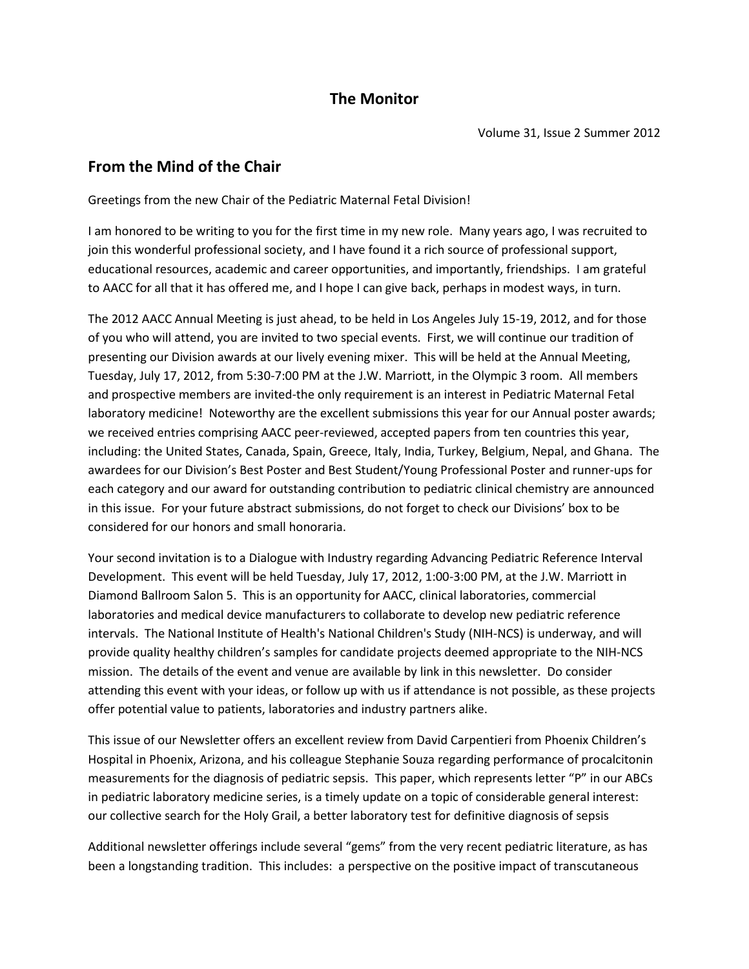# **The Monitor**

# **From the Mind of the Chair**

Greetings from the new Chair of the Pediatric Maternal Fetal Division!

I am honored to be writing to you for the first time in my new role. Many years ago, I was recruited to join this wonderful professional society, and I have found it a rich source of professional support, educational resources, academic and career opportunities, and importantly, friendships. I am grateful to AACC for all that it has offered me, and I hope I can give back, perhaps in modest ways, in turn.

The 2012 AACC Annual Meeting is just ahead, to be held in Los Angeles July 15-19, 2012, and for those of you who will attend, you are invited to two special events. First, we will continue our tradition of presenting our Division awards at our lively evening mixer. This will be held at the Annual Meeting, Tuesday, July 17, 2012, from 5:30-7:00 PM at the J.W. Marriott, in the Olympic 3 room. All members and prospective members are invited-the only requirement is an interest in Pediatric Maternal Fetal laboratory medicine! Noteworthy are the excellent submissions this year for our Annual poster awards; we received entries comprising AACC peer-reviewed, accepted papers from ten countries this year, including: the United States, Canada, Spain, Greece, Italy, India, Turkey, Belgium, Nepal, and Ghana. The awardees for our Division's Best Poster and Best Student/Young Professional Poster and runner-ups for each category and our award for outstanding contribution to pediatric clinical chemistry are announced in this issue. For your future abstract submissions, do not forget to check our Divisions' box to be considered for our honors and small honoraria.

Your second invitation is to a Dialogue with Industry regarding Advancing Pediatric Reference Interval Development. This event will be held Tuesday, July 17, 2012, 1:00-3:00 PM, at the J.W. Marriott in Diamond Ballroom Salon 5. This is an opportunity for AACC, clinical laboratories, commercial laboratories and medical device manufacturers to collaborate to develop new pediatric reference intervals. The National Institute of Health's National Children's Study (NIH-NCS) is underway, and will provide quality healthy children's samples for candidate projects deemed appropriate to the NIH-NCS mission. The details of the event and venue are available by link in this newsletter. Do consider attending this event with your ideas, or follow up with us if attendance is not possible, as these projects offer potential value to patients, laboratories and industry partners alike.

This issue of our Newsletter offers an excellent review from David Carpentieri from Phoenix Children's Hospital in Phoenix, Arizona, and his colleague Stephanie Souza regarding performance of procalcitonin measurements for the diagnosis of pediatric sepsis. This paper, which represents letter "P" in our ABCs in pediatric laboratory medicine series, is a timely update on a topic of considerable general interest: our collective search for the Holy Grail, a better laboratory test for definitive diagnosis of sepsis

Additional newsletter offerings include several "gems" from the very recent pediatric literature, as has been a longstanding tradition. This includes: a perspective on the positive impact of transcutaneous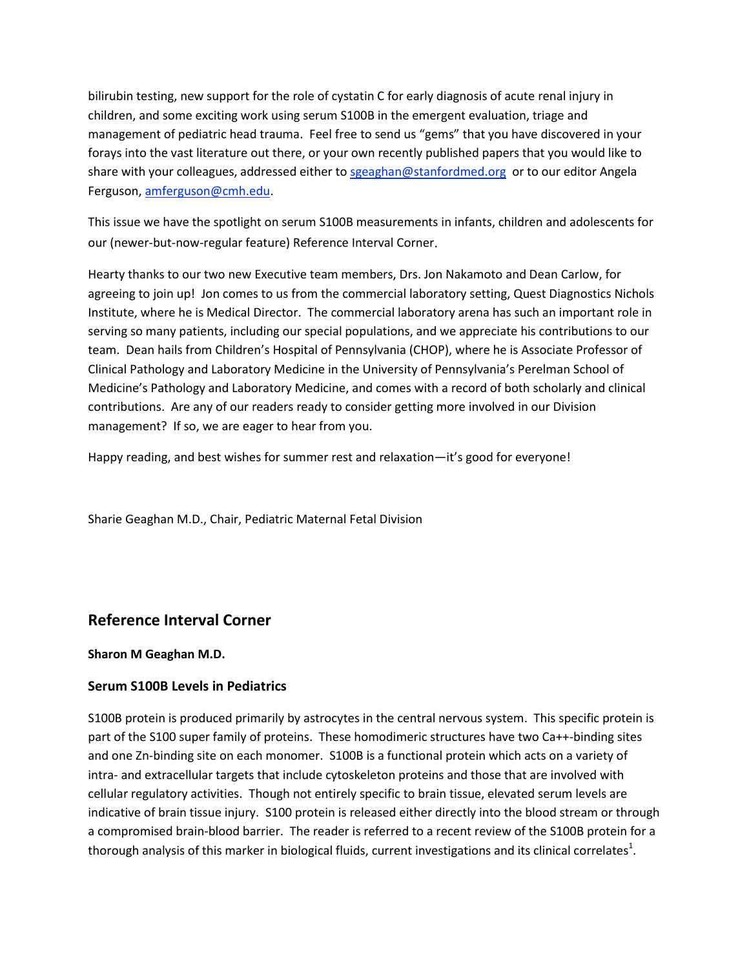bilirubin testing, new support for the role of cystatin C for early diagnosis of acute renal injury in children, and some exciting work using serum S100B in the emergent evaluation, triage and management of pediatric head trauma. Feel free to send us "gems" that you have discovered in your forays into the vast literature out there, or your own recently published papers that you would like to share with your colleagues, addressed either to [sgeaghan@stanfordmed.org](mailto:sgeaghan@stanfordmed.org) or to our editor Angela Ferguson[, amferguson@cmh.edu.](mailto:amferguson@cmh.edu)

This issue we have the spotlight on serum S100B measurements in infants, children and adolescents for our (newer-but-now-regular feature) Reference Interval Corner.

Hearty thanks to our two new Executive team members, Drs. Jon Nakamoto and Dean Carlow, for agreeing to join up! Jon comes to us from the commercial laboratory setting, Quest Diagnostics Nichols Institute, where he is Medical Director. The commercial laboratory arena has such an important role in serving so many patients, including our special populations, and we appreciate his contributions to our team. Dean hails from Children's Hospital of Pennsylvania (CHOP), where he is Associate Professor of Clinical Pathology and Laboratory Medicine in the University of Pennsylvania's Perelman School of Medicine's Pathology and Laboratory Medicine, and comes with a record of both scholarly and clinical contributions. Are any of our readers ready to consider getting more involved in our Division management? If so, we are eager to hear from you.

Happy reading, and best wishes for summer rest and relaxation—it's good for everyone!

Sharie Geaghan M.D., Chair, Pediatric Maternal Fetal Division

# **Reference Interval Corner**

#### **Sharon M Geaghan M.D.**

## **Serum S100B Levels in Pediatrics**

S100B protein is produced primarily by astrocytes in the central nervous system. This specific protein is part of the S100 super family of proteins. These homodimeric structures have two Ca++-binding sites and one Zn-binding site on each monomer. S100B is a functional protein which acts on a variety of intra- and extracellular targets that include cytoskeleton proteins and those that are involved with cellular regulatory activities. Though not entirely specific to brain tissue, elevated serum levels are indicative of brain tissue injury. S100 protein is released either directly into the blood stream or through a compromised brain-blood barrier. The reader is referred to a recent review of the S100B protein for a thorough analysis of this marker in biological fluids, current investigations and its clinical correlates $^1$ .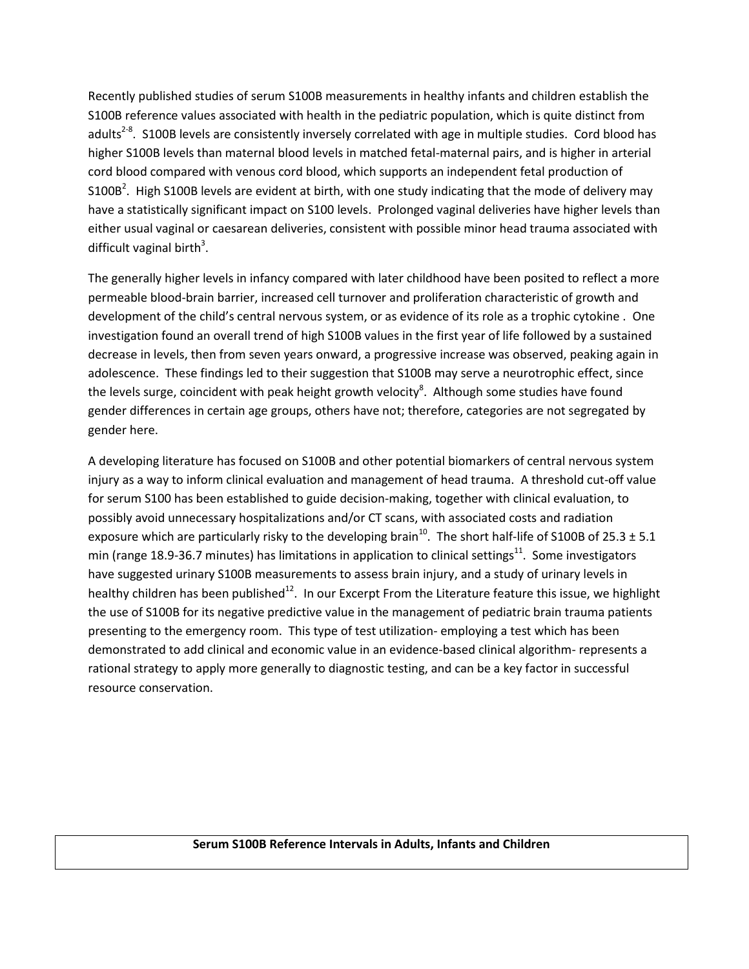Recently published studies of serum S100B measurements in healthy infants and children establish the S100B reference values associated with health in the pediatric population, which is quite distinct from adults<sup>2-8</sup>. S100B levels are consistently inversely correlated with age in multiple studies. Cord blood has higher S100B levels than maternal blood levels in matched fetal-maternal pairs, and is higher in arterial cord blood compared with venous cord blood, which supports an independent fetal production of S100B<sup>2</sup>. High S100B levels are evident at birth, with one study indicating that the mode of delivery may have a statistically significant impact on S100 levels. Prolonged vaginal deliveries have higher levels than either usual vaginal or caesarean deliveries, consistent with possible minor head trauma associated with difficult vaginal birth<sup>3</sup>.

The generally higher levels in infancy compared with later childhood have been posited to reflect a more permeable blood-brain barrier, increased cell turnover and proliferation characteristic of growth and development of the child's central nervous system, or as evidence of its role as a trophic cytokine . One investigation found an overall trend of high S100B values in the first year of life followed by a sustained decrease in levels, then from seven years onward, a progressive increase was observed, peaking again in adolescence. These findings led to their suggestion that S100B may serve a neurotrophic effect, since the levels surge, coincident with peak height growth velocity<sup>8</sup>. Although some studies have found gender differences in certain age groups, others have not; therefore, categories are not segregated by gender here.

A developing literature has focused on S100B and other potential biomarkers of central nervous system injury as a way to inform clinical evaluation and management of head trauma. A threshold cut-off value for serum S100 has been established to guide decision-making, together with clinical evaluation, to possibly avoid unnecessary hospitalizations and/or CT scans, with associated costs and radiation exposure which are particularly risky to the developing brain<sup>10</sup>. The short half-life of S100B of 25.3  $\pm$  5.1 min (range 18.9-36.7 minutes) has limitations in application to clinical settings<sup>11</sup>. Some investigators have suggested urinary S100B measurements to assess brain injury, and a study of urinary levels in healthy children has been published<sup>12</sup>. In our Excerpt From the Literature feature this issue, we highlight the use of S100B for its negative predictive value in the management of pediatric brain trauma patients presenting to the emergency room. This type of test utilization- employing a test which has been demonstrated to add clinical and economic value in an evidence-based clinical algorithm- represents a rational strategy to apply more generally to diagnostic testing, and can be a key factor in successful resource conservation.

#### **Serum S100B Reference Intervals in Adults, Infants and Children**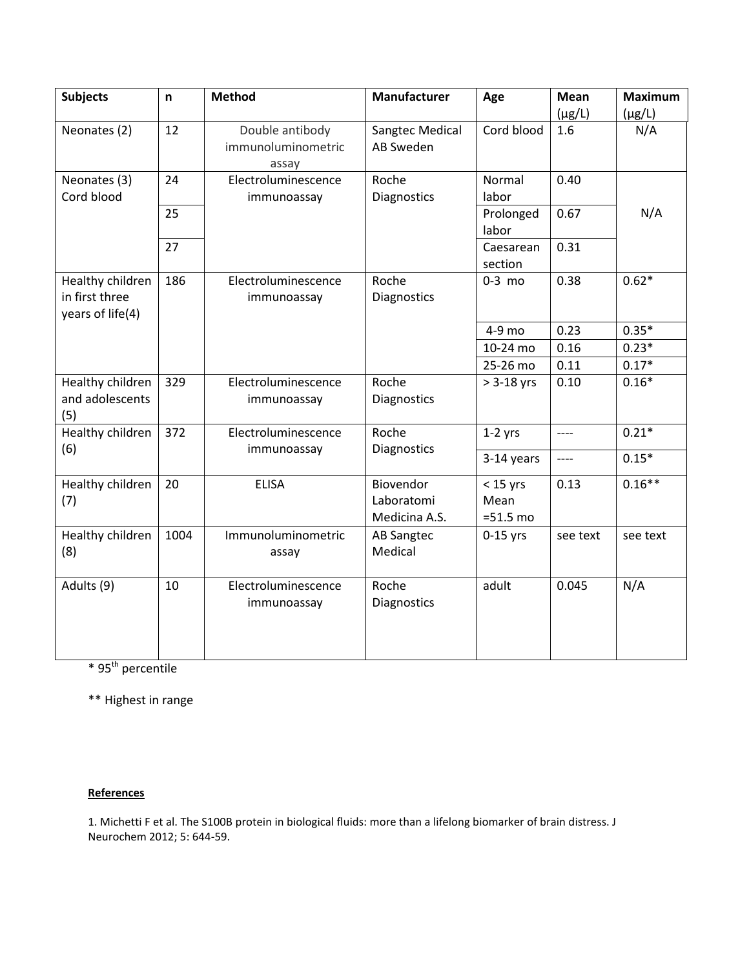| <b>Subjects</b>  | n    | <b>Method</b>       | <b>Manufacturer</b> | Age                | <b>Mean</b> | <b>Maximum</b> |
|------------------|------|---------------------|---------------------|--------------------|-------------|----------------|
|                  |      |                     |                     |                    | $(\mu g/L)$ | $(\mu g/L)$    |
| Neonates (2)     | 12   | Double antibody     | Sangtec Medical     | Cord blood         | 1.6         | N/A            |
|                  |      | immunoluminometric  | AB Sweden           |                    |             |                |
|                  |      | assay               |                     |                    |             |                |
| Neonates (3)     | 24   | Electroluminescence | Roche               | Normal             | 0.40        |                |
| Cord blood       |      | immunoassay         | Diagnostics         | labor              |             |                |
|                  | 25   |                     |                     | Prolonged<br>labor | 0.67        | N/A            |
|                  | 27   |                     |                     | Caesarean          | 0.31        |                |
|                  |      |                     |                     | section            |             |                |
| Healthy children | 186  | Electroluminescence | Roche               | $0-3$ mo           | 0.38        | $0.62*$        |
| in first three   |      | immunoassay         | Diagnostics         |                    |             |                |
| years of life(4) |      |                     |                     |                    |             |                |
|                  |      |                     |                     | 4-9 mo             | 0.23        | $0.35*$        |
|                  |      |                     |                     | 10-24 mo           | 0.16        | $0.23*$        |
|                  |      |                     |                     | 25-26 mo           | 0.11        | $0.17*$        |
| Healthy children | 329  | Electroluminescence | Roche               | $> 3-18$ yrs       | 0.10        | $0.16*$        |
| and adolescents  |      | immunoassay         | <b>Diagnostics</b>  |                    |             |                |
| (5)              |      |                     |                     |                    |             |                |
| Healthy children | 372  | Electroluminescence | Roche               | $1-2$ yrs          | $---$       | $0.21*$        |
| (6)              |      | immunoassay         | Diagnostics         | 3-14 years         | $---$       | $0.15*$        |
|                  |      |                     |                     |                    |             |                |
| Healthy children | 20   | <b>ELISA</b>        | Biovendor           | $<$ 15 yrs         | 0.13        | $0.16**$       |
| (7)              |      |                     | Laboratomi          | Mean               |             |                |
|                  |      |                     | Medicina A.S.       | $=51.5$ mo         |             |                |
| Healthy children | 1004 | Immunoluminometric  | <b>AB Sangtec</b>   | $0-15$ yrs         | see text    | see text       |
| (8)              |      | assay               | Medical             |                    |             |                |
|                  |      |                     |                     |                    |             |                |
| Adults (9)       | 10   | Electroluminescence | Roche               | adult              | 0.045       | N/A            |
|                  |      | immunoassay         | Diagnostics         |                    |             |                |
|                  |      |                     |                     |                    |             |                |
|                  |      |                     |                     |                    |             |                |
|                  |      |                     |                     |                    |             |                |

 $*$  95<sup>th</sup> percentile

\*\* Highest in range

#### **References**

1. Michetti F et al. The S100B protein in biological fluids: more than a lifelong biomarker of brain distress. J Neurochem 2012; 5: 644-59.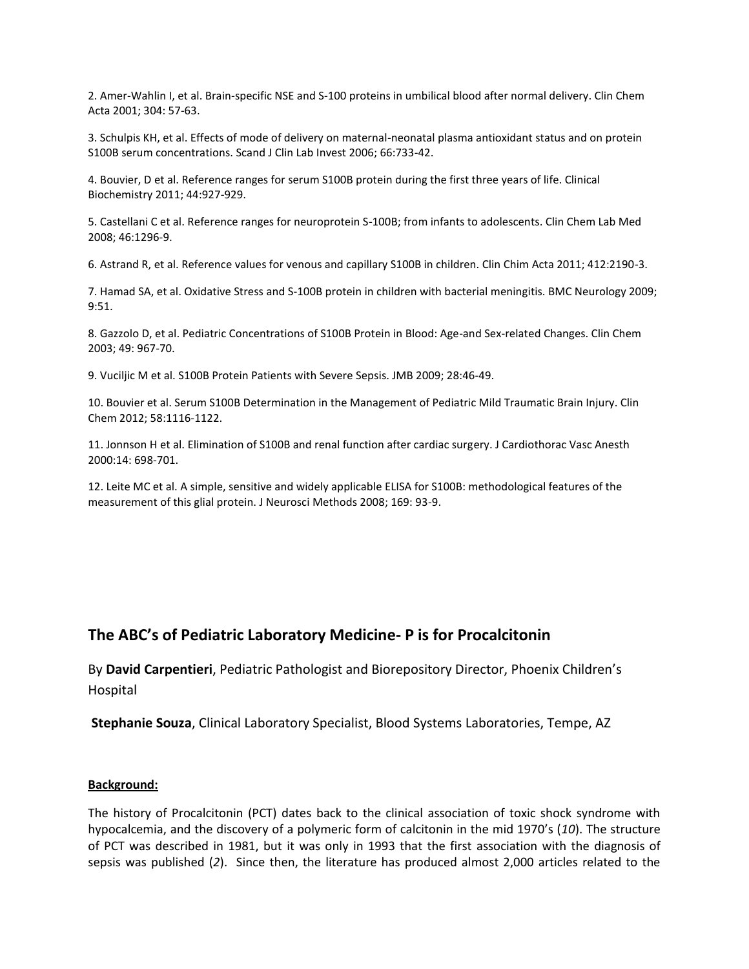2. Amer-Wahlin I, et al. Brain-specific NSE and S-100 proteins in umbilical blood after normal delivery. Clin Chem Acta 2001; 304: 57-63.

3. Schulpis KH, et al. Effects of mode of delivery on maternal-neonatal plasma antioxidant status and on protein S100B serum concentrations. Scand J Clin Lab Invest 2006; 66:733-42.

4. Bouvier, D et al. Reference ranges for serum S100B protein during the first three years of life. Clinical Biochemistry 2011; 44:927-929.

5. Castellani C et al. Reference ranges for neuroprotein S-100B; from infants to adolescents. Clin Chem Lab Med 2008; 46:1296-9.

6. Astrand R, et al. Reference values for venous and capillary S100B in children. Clin Chim Acta 2011; 412:2190-3.

7. Hamad SA, et al. Oxidative Stress and S-100B protein in children with bacterial meningitis. BMC Neurology 2009; 9:51.

8. Gazzolo D, et al. Pediatric Concentrations of S100B Protein in Blood: Age-and Sex-related Changes. Clin Chem 2003; 49: 967-70.

9. Vuciljic M et al. S100B Protein Patients with Severe Sepsis. JMB 2009; 28:46-49.

10. Bouvier et al. Serum S100B Determination in the Management of Pediatric Mild Traumatic Brain Injury. Clin Chem 2012; 58:1116-1122.

11. Jonnson H et al. Elimination of S100B and renal function after cardiac surgery. J Cardiothorac Vasc Anesth 2000:14: 698-701.

12. Leite MC et al. A simple, sensitive and widely applicable ELISA for S100B: methodological features of the measurement of this glial protein. J Neurosci Methods 2008; 169: 93-9.

## **The ABC's of Pediatric Laboratory Medicine- P is for Procalcitonin**

By **David Carpentieri**, Pediatric Pathologist and Biorepository Director, Phoenix Children's Hospital

**Stephanie Souza**, Clinical Laboratory Specialist, Blood Systems Laboratories, Tempe, AZ

#### **Background:**

The history of Procalcitonin (PCT) dates back to the clinical association of toxic shock syndrome with hypocalcemia, and the discovery of a polymeric form of calcitonin in the mid 1970's (*10*). The structure of PCT was described in 1981, but it was only in 1993 that the first association with the diagnosis of sepsis was published (*2*). Since then, the literature has produced almost 2,000 articles related to the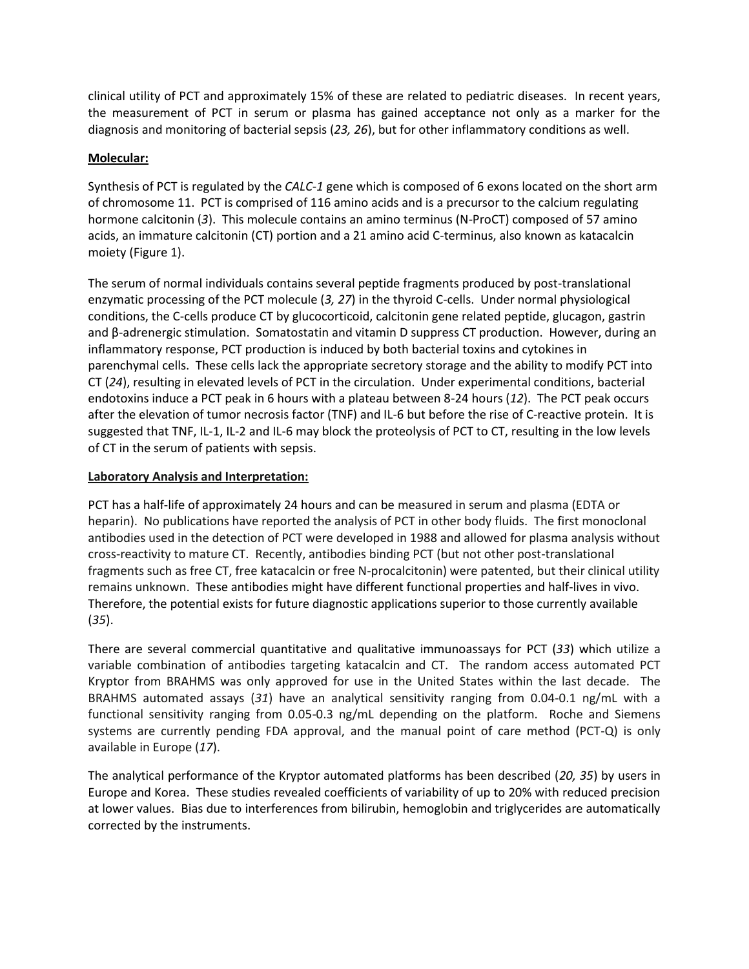clinical utility of PCT and approximately 15% of these are related to pediatric diseases. In recent years, the measurement of PCT in serum or plasma has gained acceptance not only as a marker for the diagnosis and monitoring of bacterial sepsis (*23, 26*), but for other inflammatory conditions as well.

## **Molecular:**

Synthesis of PCT is regulated by the *CALC-1* gene which is composed of 6 exons located on the short arm of chromosome 11. PCT is comprised of 116 amino acids and is a precursor to the calcium regulating hormone calcitonin (*3*). This molecule contains an amino terminus (N-ProCT) composed of 57 amino acids, an immature calcitonin (CT) portion and a 21 amino acid C-terminus, also known as katacalcin moiety (Figure 1).

The serum of normal individuals contains several peptide fragments produced by post-translational enzymatic processing of the PCT molecule (*3, 27*) in the thyroid C-cells. Under normal physiological conditions, the C-cells produce CT by glucocorticoid, calcitonin gene related peptide, glucagon, gastrin and β-adrenergic stimulation. Somatostatin and vitamin D suppress CT production. However, during an inflammatory response, PCT production is induced by both bacterial toxins and cytokines in parenchymal cells. These cells lack the appropriate secretory storage and the ability to modify PCT into CT (*24*), resulting in elevated levels of PCT in the circulation. Under experimental conditions, bacterial endotoxins induce a PCT peak in 6 hours with a plateau between 8-24 hours (*12*). The PCT peak occurs after the elevation of tumor necrosis factor (TNF) and IL-6 but before the rise of C-reactive protein. It is suggested that TNF, IL-1, IL-2 and IL-6 may block the proteolysis of PCT to CT, resulting in the low levels of CT in the serum of patients with sepsis.

## **Laboratory Analysis and Interpretation:**

PCT has a half-life of approximately 24 hours and can be measured in serum and plasma (EDTA or heparin). No publications have reported the analysis of PCT in other body fluids. The first monoclonal antibodies used in the detection of PCT were developed in 1988 and allowed for plasma analysis without cross-reactivity to mature CT. Recently, antibodies binding PCT (but not other post-translational fragments such as free CT, free katacalcin or free N-procalcitonin) were patented, but their clinical utility remains unknown. These antibodies might have different functional properties and half-lives in vivo. Therefore, the potential exists for future diagnostic applications superior to those currently available (*35*).

There are several commercial quantitative and qualitative immunoassays for PCT (*33*) which utilize a variable combination of antibodies targeting katacalcin and CT. The random access automated PCT Kryptor from BRAHMS was only approved for use in the United States within the last decade. The BRAHMS automated assays (*31*) have an analytical sensitivity ranging from 0.04-0.1 ng/mL with a functional sensitivity ranging from 0.05-0.3 ng/mL depending on the platform. Roche and Siemens systems are currently pending FDA approval, and the manual point of care method (PCT-Q) is only available in Europe (*17*).

The analytical performance of the Kryptor automated platforms has been described (*20, 35*) by users in Europe and Korea. These studies revealed coefficients of variability of up to 20% with reduced precision at lower values. Bias due to interferences from bilirubin, hemoglobin and triglycerides are automatically corrected by the instruments.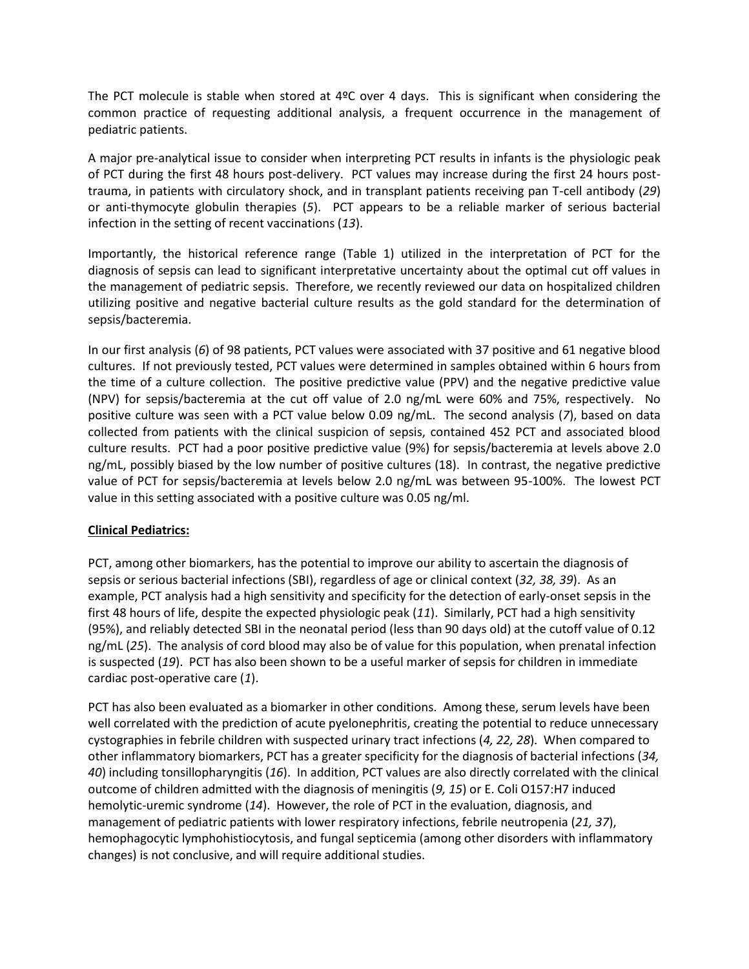The PCT molecule is stable when stored at  $4^{\circ}$ C over 4 days. This is significant when considering the common practice of requesting additional analysis, a frequent occurrence in the management of pediatric patients.

A major pre-analytical issue to consider when interpreting PCT results in infants is the physiologic peak of PCT during the first 48 hours post-delivery. PCT values may increase during the first 24 hours posttrauma, in patients with circulatory shock, and in transplant patients receiving pan T-cell antibody (*29*) or anti-thymocyte globulin therapies (*5*). PCT appears to be a reliable marker of serious bacterial infection in the setting of recent vaccinations (*13*).

Importantly, the historical reference range (Table 1) utilized in the interpretation of PCT for the diagnosis of sepsis can lead to significant interpretative uncertainty about the optimal cut off values in the management of pediatric sepsis. Therefore, we recently reviewed our data on hospitalized children utilizing positive and negative bacterial culture results as the gold standard for the determination of sepsis/bacteremia.

In our first analysis (*6*) of 98 patients, PCT values were associated with 37 positive and 61 negative blood cultures. If not previously tested, PCT values were determined in samples obtained within 6 hours from the time of a culture collection. The positive predictive value (PPV) and the negative predictive value (NPV) for sepsis/bacteremia at the cut off value of 2.0 ng/mL were 60% and 75%, respectively. No positive culture was seen with a PCT value below 0.09 ng/mL. The second analysis (*7*), based on data collected from patients with the clinical suspicion of sepsis, contained 452 PCT and associated blood culture results. PCT had a poor positive predictive value (9%) for sepsis/bacteremia at levels above 2.0 ng/mL, possibly biased by the low number of positive cultures (18). In contrast, the negative predictive value of PCT for sepsis/bacteremia at levels below 2.0 ng/mL was between 95-100%. The lowest PCT value in this setting associated with a positive culture was 0.05 ng/ml.

#### **Clinical Pediatrics:**

PCT, among other biomarkers, has the potential to improve our ability to ascertain the diagnosis of sepsis or serious bacterial infections (SBI), regardless of age or clinical context (*32, 38, 39*). As an example, PCT analysis had a high sensitivity and specificity for the detection of early-onset sepsis in the first 48 hours of life, despite the expected physiologic peak (*11*). Similarly, PCT had a high sensitivity (95%), and reliably detected SBI in the neonatal period (less than 90 days old) at the cutoff value of 0.12 ng/mL (*25*). The analysis of cord blood may also be of value for this population, when prenatal infection is suspected (*19*). PCT has also been shown to be a useful marker of sepsis for children in immediate cardiac post-operative care (*1*).

PCT has also been evaluated as a biomarker in other conditions. Among these, serum levels have been well correlated with the prediction of acute pyelonephritis, creating the potential to reduce unnecessary cystographies in febrile children with suspected urinary tract infections (*4, 22, 28*). When compared to other inflammatory biomarkers, PCT has a greater specificity for the diagnosis of bacterial infections (*34, 40*) including tonsillopharyngitis (*16*). In addition, PCT values are also directly correlated with the clinical outcome of children admitted with the diagnosis of meningitis (*9, 15*) or E. Coli O157:H7 induced hemolytic-uremic syndrome (*14*). However, the role of PCT in the evaluation, diagnosis, and management of pediatric patients with lower respiratory infections, febrile neutropenia (*21, 37*), hemophagocytic lymphohistiocytosis, and fungal septicemia (among other disorders with inflammatory changes) is not conclusive, and will require additional studies.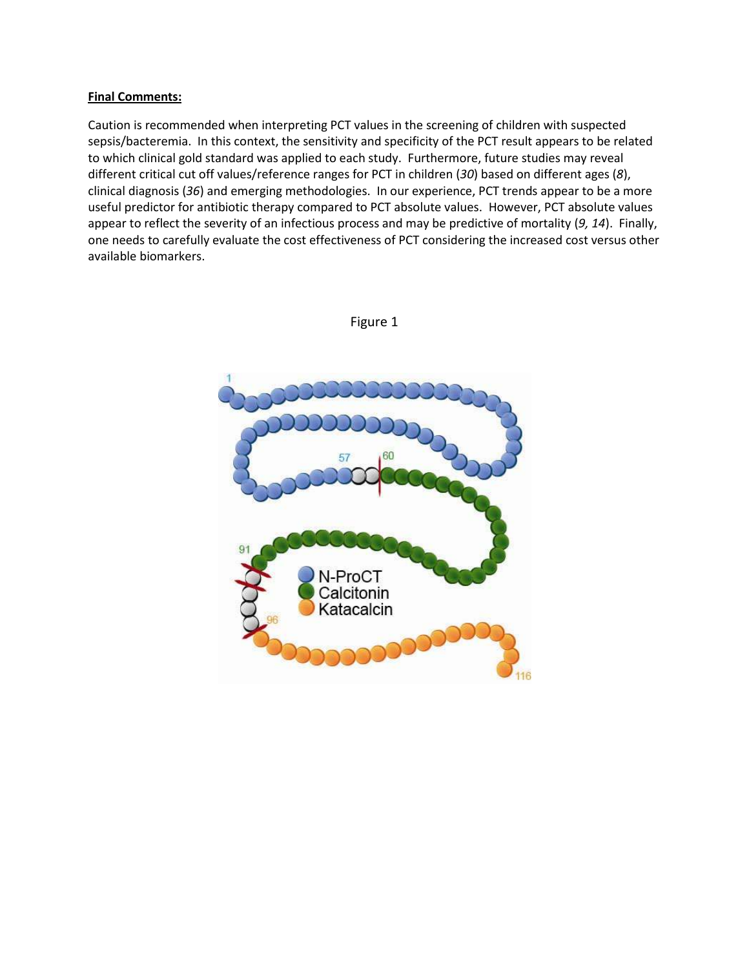#### **Final Comments:**

Caution is recommended when interpreting PCT values in the screening of children with suspected sepsis/bacteremia. In this context, the sensitivity and specificity of the PCT result appears to be related to which clinical gold standard was applied to each study. Furthermore, future studies may reveal different critical cut off values/reference ranges for PCT in children (*30*) based on different ages (*8*), clinical diagnosis (*36*) and emerging methodologies. In our experience, PCT trends appear to be a more useful predictor for antibiotic therapy compared to PCT absolute values. However, PCT absolute values appear to reflect the severity of an infectious process and may be predictive of mortality (*9, 14*). Finally, one needs to carefully evaluate the cost effectiveness of PCT considering the increased cost versus other available biomarkers.



Figure 1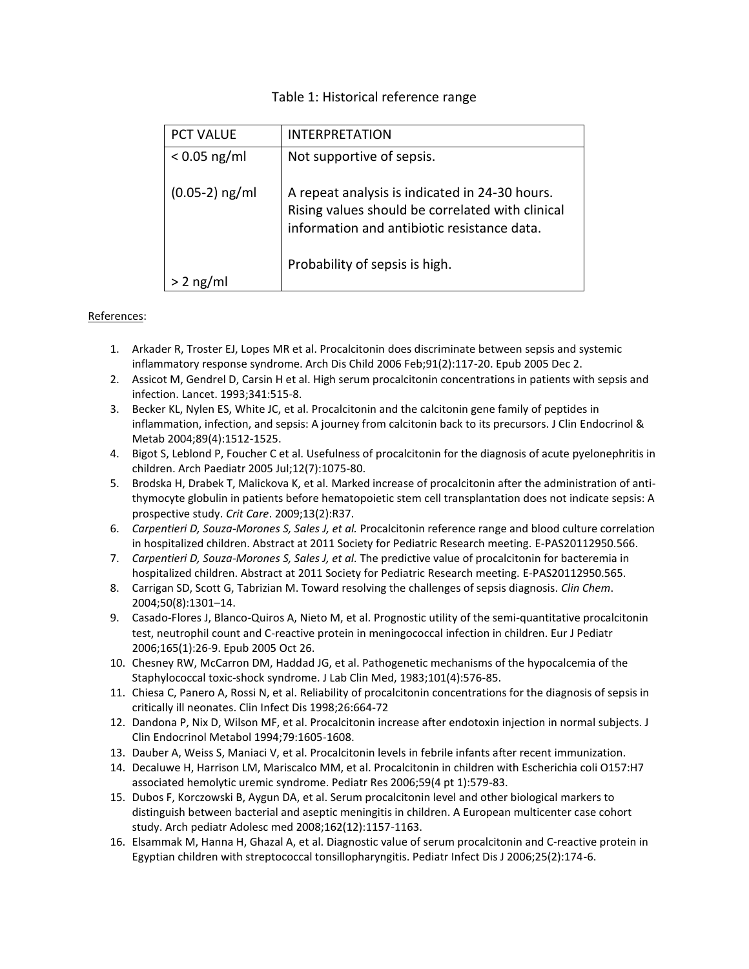#### Table 1: Historical reference range

| <b>PCT VALUE</b> | <b>INTERPRETATION</b>                                                                                                                             |  |  |
|------------------|---------------------------------------------------------------------------------------------------------------------------------------------------|--|--|
| $< 0.05$ ng/ml   | Not supportive of sepsis.                                                                                                                         |  |  |
| $(0.05-2)$ ng/ml | A repeat analysis is indicated in 24-30 hours.<br>Rising values should be correlated with clinical<br>information and antibiotic resistance data. |  |  |
|                  | Probability of sepsis is high.                                                                                                                    |  |  |
|                  |                                                                                                                                                   |  |  |

#### References:

- 1. Arkader R, Troster EJ, Lopes MR et al. Procalcitonin does discriminate between sepsis and systemic inflammatory response syndrome. Arch Dis Child 2006 Feb;91(2):117-20. Epub 2005 Dec 2.
- 2. Assicot M, Gendrel D, Carsin H et al. High serum procalcitonin concentrations in patients with sepsis and infection. Lancet. 1993;341:515-8.
- 3. Becker KL, Nylen ES, White JC, et al. Procalcitonin and the calcitonin gene family of peptides in inflammation, infection, and sepsis: A journey from calcitonin back to its precursors. J Clin Endocrinol & Metab 2004;89(4):1512-1525.
- 4. Bigot S, Leblond P, Foucher C et al. Usefulness of procalcitonin for the diagnosis of acute pyelonephritis in children. Arch Paediatr 2005 Jul;12(7):1075-80.
- 5. Brodska H, Drabek T, Malickova K, et al. Marked increase of procalcitonin after the administration of antithymocyte globulin in patients before hematopoietic stem cell transplantation does not indicate sepsis: A prospective study. *Crit Care*. 2009;13(2):R37.
- 6. *Carpentieri D, Souza-Morones S, Sales J, et al.* Procalcitonin reference range and blood culture correlation in hospitalized children. Abstract at 2011 Society for Pediatric Research meeting. E-PAS20112950.566.
- 7. *Carpentieri D, Souza-Morones S, Sales J, et al.* The predictive value of procalcitonin for bacteremia in hospitalized children. Abstract at 2011 Society for Pediatric Research meeting. E-PAS20112950.565.
- 8. Carrigan SD, Scott G, Tabrizian M. Toward resolving the challenges of sepsis diagnosis. *Clin Chem*. 2004;50(8):1301–14.
- 9. Casado-Flores J, Blanco-Quiros A, Nieto M, et al. Prognostic utility of the semi-quantitative procalcitonin test, neutrophil count and C-reactive protein in meningococcal infection in children. Eur J Pediatr 2006;165(1):26-9. Epub 2005 Oct 26.
- 10. Chesney RW, McCarron DM, Haddad JG, et al. Pathogenetic mechanisms of the hypocalcemia of the Staphylococcal toxic-shock syndrome. J Lab Clin Med, 1983;101(4):576-85.
- 11. Chiesa C, Panero A, Rossi N, et al. Reliability of procalcitonin concentrations for the diagnosis of sepsis in critically ill neonates. Clin Infect Dis 1998;26:664-72
- 12. Dandona P, Nix D, Wilson MF, et al. Procalcitonin increase after endotoxin injection in normal subjects. J Clin Endocrinol Metabol 1994;79:1605-1608.
- 13. Dauber A, Weiss S, Maniaci V, et al. Procalcitonin levels in febrile infants after recent immunization.
- 14. Decaluwe H, Harrison LM, Mariscalco MM, et al. Procalcitonin in children with Escherichia coli O157:H7 associated hemolytic uremic syndrome. Pediatr Res 2006;59(4 pt 1):579-83.
- 15. Dubos F, Korczowski B, Aygun DA, et al. Serum procalcitonin level and other biological markers to distinguish between bacterial and aseptic meningitis in children. A European multicenter case cohort study. Arch pediatr Adolesc med 2008;162(12):1157-1163.
- 16. Elsammak M, Hanna H, Ghazal A, et al. Diagnostic value of serum procalcitonin and C-reactive protein in Egyptian children with streptococcal tonsillopharyngitis. Pediatr Infect Dis J 2006;25(2):174-6.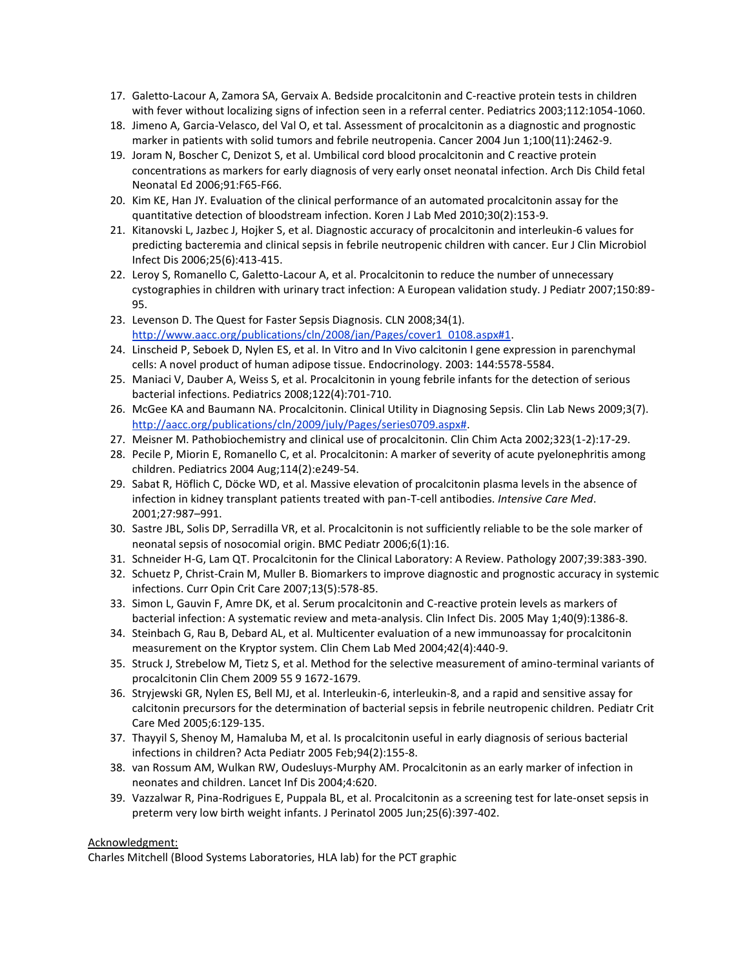- 17. Galetto-Lacour A, Zamora SA, Gervaix A. Bedside procalcitonin and C-reactive protein tests in children with fever without localizing signs of infection seen in a referral center. Pediatrics 2003;112:1054-1060.
- 18. Jimeno A, Garcia-Velasco, del Val O, et tal. Assessment of procalcitonin as a diagnostic and prognostic marker in patients with solid tumors and febrile neutropenia. Cancer 2004 Jun 1;100(11):2462-9.
- 19. Joram N, Boscher C, Denizot S, et al. Umbilical cord blood procalcitonin and C reactive protein concentrations as markers for early diagnosis of very early onset neonatal infection. Arch Dis Child fetal Neonatal Ed 2006;91:F65-F66.
- 20. Kim KE, Han JY. Evaluation of the clinical performance of an automated procalcitonin assay for the quantitative detection of bloodstream infection. Koren J Lab Med 2010;30(2):153-9.
- 21. Kitanovski L, Jazbec J, Hojker S, et al. Diagnostic accuracy of procalcitonin and interleukin-6 values for predicting bacteremia and clinical sepsis in febrile neutropenic children with cancer. Eur J Clin Microbiol Infect Dis 2006;25(6):413-415.
- 22. Leroy S, Romanello C, Galetto-Lacour A, et al. Procalcitonin to reduce the number of unnecessary cystographies in children with urinary tract infection: A European validation study. J Pediatr 2007;150:89- 95.
- 23. Levenson D. The Quest for Faster Sepsis Diagnosis. CLN 2008;34(1). [http://www.aacc.org/publications/cln/2008/jan/Pages/cover1\\_0108.aspx#1.](http://www.aacc.org/publications/cln/2008/jan/Pages/cover1_0108.aspx#1)
- 24. Linscheid P, Seboek D, Nylen ES, et al. In Vitro and In Vivo calcitonin I gene expression in parenchymal cells: A novel product of human adipose tissue. Endocrinology. 2003: 144:5578-5584.
- 25. Maniaci V, Dauber A, Weiss S, et al. Procalcitonin in young febrile infants for the detection of serious bacterial infections. Pediatrics 2008;122(4):701-710.
- 26. McGee KA and Baumann NA. Procalcitonin. Clinical Utility in Diagnosing Sepsis. Clin Lab News 2009;3(7). [http://aacc.org/publications/cln/2009/july/Pages/series0709.aspx#.](http://aacc.org/publications/cln/2009/july/Pages/series0709.aspx)
- 27. Meisner M. Pathobiochemistry and clinical use of procalcitonin. Clin Chim Acta 2002;323(1-2):17-29.
- 28. Pecile P, Miorin E, Romanello C, et al. Procalcitonin: A marker of severity of acute pyelonephritis among children. Pediatrics 2004 Aug;114(2):e249-54.
- 29. Sabat R, Höflich C, Döcke WD, et al. Massive elevation of procalcitonin plasma levels in the absence of infection in kidney transplant patients treated with pan-T-cell antibodies. *Intensive Care Med*. 2001;27:987–991.
- 30. Sastre JBL, Solis DP, Serradilla VR, et al. Procalcitonin is not sufficiently reliable to be the sole marker of neonatal sepsis of nosocomial origin. BMC Pediatr 2006;6(1):16.
- 31. Schneider H-G, Lam QT. Procalcitonin for the Clinical Laboratory: A Review. Pathology 2007;39:383-390.
- 32. Schuetz P, Christ-Crain M, Muller B. Biomarkers to improve diagnostic and prognostic accuracy in systemic infections. Curr Opin Crit Care 2007;13(5):578-85.
- 33. Simon L, Gauvin F, Amre DK, et al. Serum procalcitonin and C-reactive protein levels as markers of bacterial infection: A systematic review and meta-analysis. Clin Infect Dis. 2005 May 1;40(9):1386-8.
- 34. Steinbach G, Rau B, Debard AL, et al. Multicenter evaluation of a new immunoassay for procalcitonin measurement on the Kryptor system. Clin Chem Lab Med 2004;42(4):440-9.
- 35. Struck J, Strebelow M, Tietz S, et al. Method for the selective measurement of amino-terminal variants of procalcitonin Clin Chem 2009 55 9 1672-1679.
- 36. Stryjewski GR, Nylen ES, Bell MJ, et al. Interleukin-6, interleukin-8, and a rapid and sensitive assay for calcitonin precursors for the determination of bacterial sepsis in febrile neutropenic children. Pediatr Crit Care Med 2005;6:129-135.
- 37. Thayyil S, Shenoy M, Hamaluba M, et al. Is procalcitonin useful in early diagnosis of serious bacterial infections in children? Acta Pediatr 2005 Feb;94(2):155-8.
- 38. van Rossum AM, Wulkan RW, Oudesluys-Murphy AM. Procalcitonin as an early marker of infection in neonates and children. Lancet Inf Dis 2004;4:620.
- 39. Vazzalwar R, Pina-Rodrigues E, Puppala BL, et al. Procalcitonin as a screening test for late-onset sepsis in preterm very low birth weight infants. J Perinatol 2005 Jun;25(6):397-402.

#### Acknowledgment:

Charles Mitchell (Blood Systems Laboratories, HLA lab) for the PCT graphic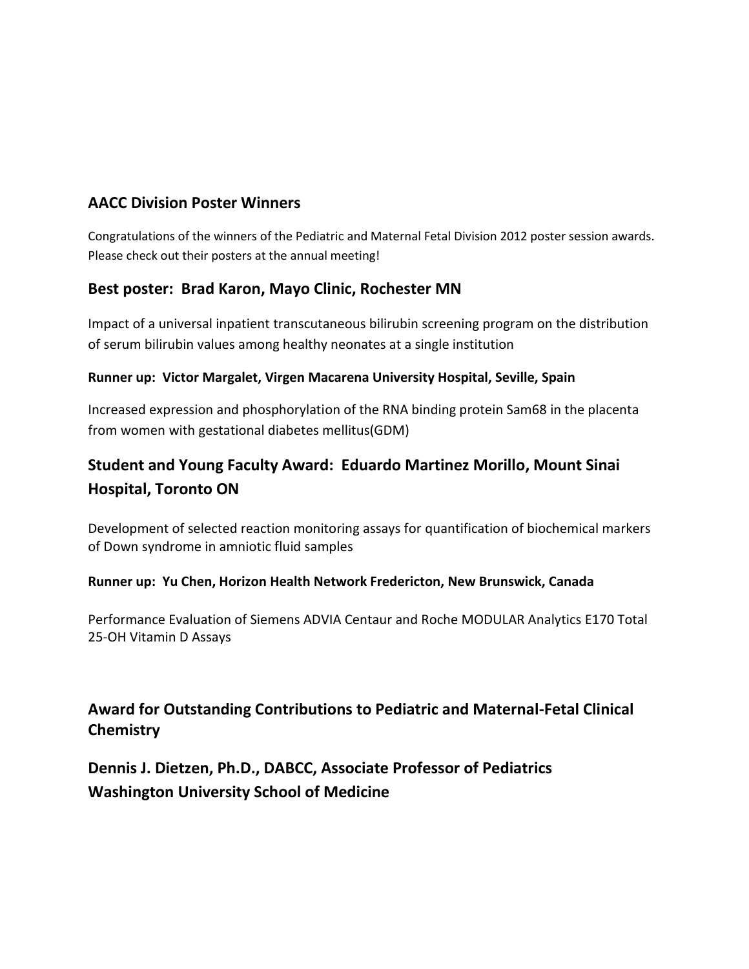# **AACC Division Poster Winners**

Congratulations of the winners of the Pediatric and Maternal Fetal Division 2012 poster session awards. Please check out their posters at the annual meeting!

# **Best poster: Brad Karon, Mayo Clinic, Rochester MN**

Impact of a universal inpatient transcutaneous bilirubin screening program on the distribution of serum bilirubin values among healthy neonates at a single institution

## **Runner up: Victor Margalet, Virgen Macarena University Hospital, Seville, Spain**

Increased expression and phosphorylation of the RNA binding protein Sam68 in the placenta from women with gestational diabetes mellitus(GDM)

# **Student and Young Faculty Award: Eduardo Martinez Morillo, Mount Sinai Hospital, Toronto ON**

Development of selected reaction monitoring assays for quantification of biochemical markers of Down syndrome in amniotic fluid samples

## **Runner up: Yu Chen, Horizon Health Network Fredericton, New Brunswick, Canada**

Performance Evaluation of Siemens ADVIA Centaur and Roche MODULAR Analytics E170 Total 25-OH Vitamin D Assays

# **Award for Outstanding Contributions to Pediatric and Maternal-Fetal Clinical Chemistry**

**Dennis J. Dietzen, Ph.D., DABCC, Associate Professor of Pediatrics Washington University School of Medicine**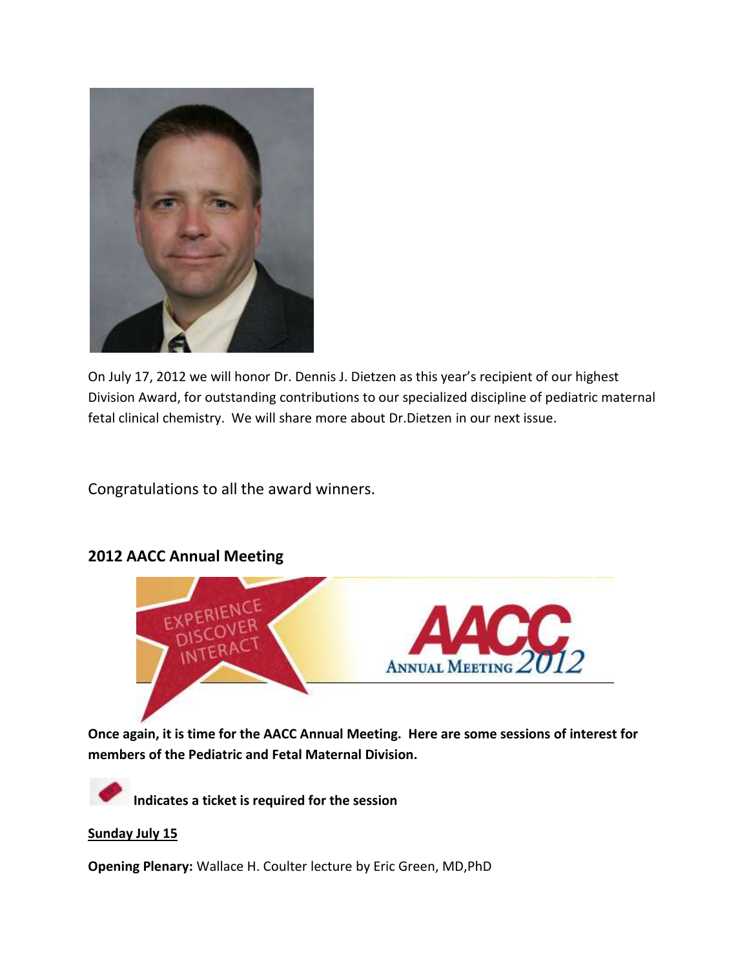

On July 17, 2012 we will honor Dr. Dennis J. Dietzen as this year's recipient of our highest Division Award, for outstanding contributions to our specialized discipline of pediatric maternal fetal clinical chemistry. We will share more about Dr.Dietzen in our next issue.

Congratulations to all the award winners.



# **2012 AACC Annual Meeting**

**Once again, it is time for the AACC Annual Meeting. Here are some sessions of interest for members of the Pediatric and Fetal Maternal Division.**



**Indicates a ticket is required for the session**

## **Sunday July 15**

**Opening Plenary:** Wallace H. Coulter lecture by Eric Green, MD,PhD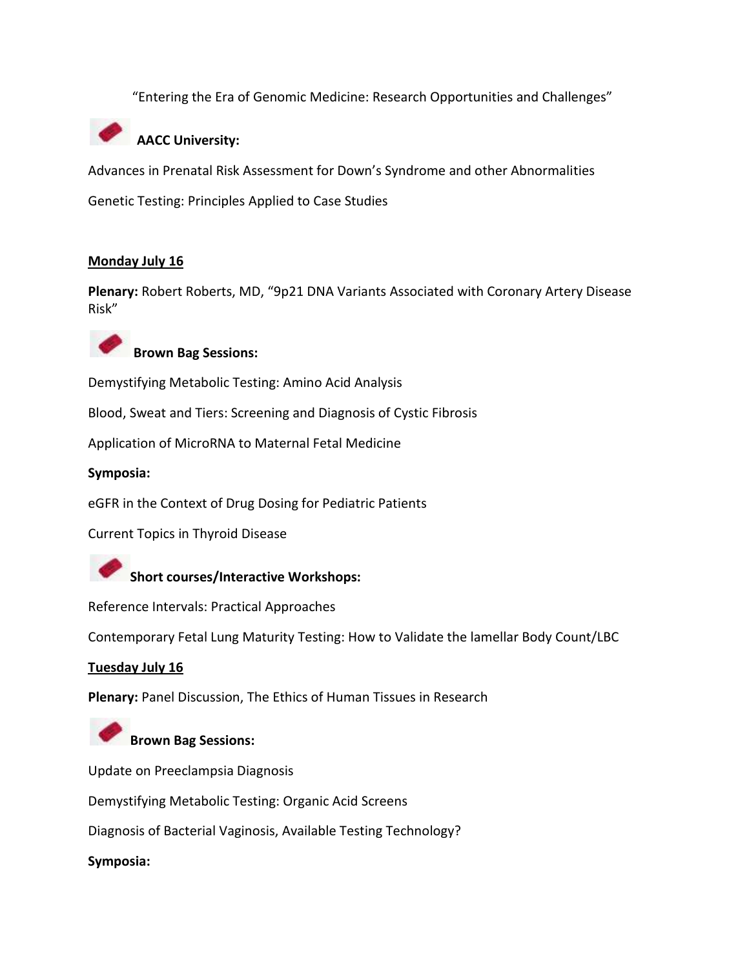"Entering the Era of Genomic Medicine: Research Opportunities and Challenges"



# **AACC University:**

Advances in Prenatal Risk Assessment for Down's Syndrome and other Abnormalities

Genetic Testing: Principles Applied to Case Studies

## **Monday July 16**

**Plenary:** Robert Roberts, MD, "9p21 DNA Variants Associated with Coronary Artery Disease Risk"



# **Brown Bag Sessions:**

Demystifying Metabolic Testing: Amino Acid Analysis

Blood, Sweat and Tiers: Screening and Diagnosis of Cystic Fibrosis

Application of MicroRNA to Maternal Fetal Medicine

**Symposia:**

eGFR in the Context of Drug Dosing for Pediatric Patients

Current Topics in Thyroid Disease



Reference Intervals: Practical Approaches

Contemporary Fetal Lung Maturity Testing: How to Validate the lamellar Body Count/LBC

## **Tuesday July 16**

**Plenary:** Panel Discussion, The Ethics of Human Tissues in Research

# **Brown Bag Sessions:**

Update on Preeclampsia Diagnosis

Demystifying Metabolic Testing: Organic Acid Screens

Diagnosis of Bacterial Vaginosis, Available Testing Technology?

**Symposia:**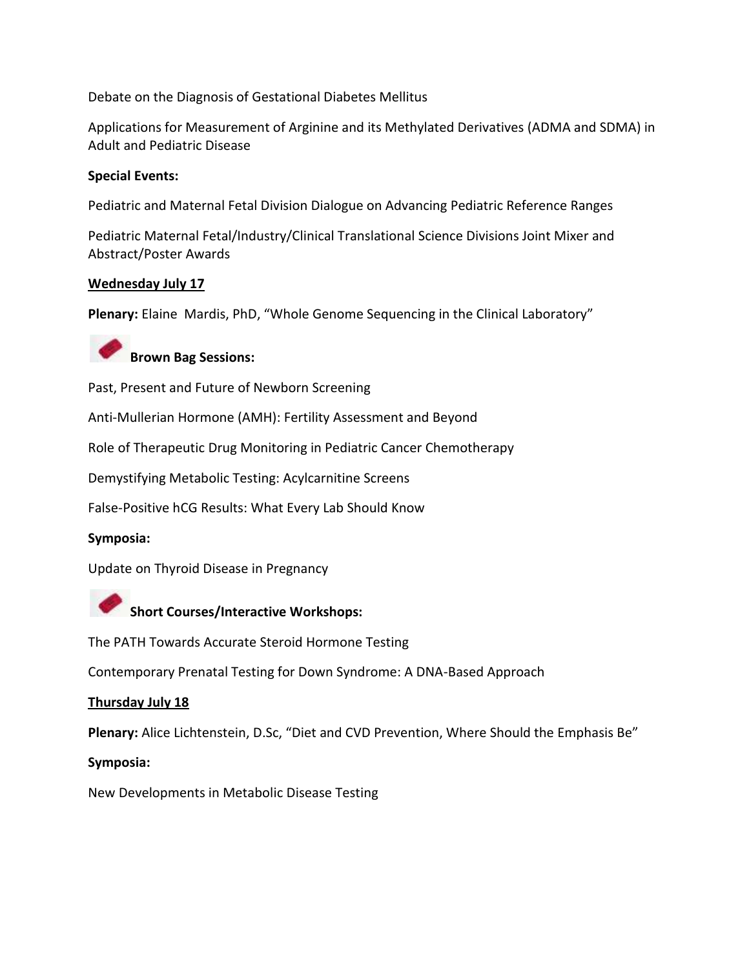Debate on the Diagnosis of Gestational Diabetes Mellitus

Applications for Measurement of Arginine and its Methylated Derivatives (ADMA and SDMA) in Adult and Pediatric Disease

## **Special Events:**

Pediatric and Maternal Fetal Division Dialogue on Advancing Pediatric Reference Ranges

Pediatric Maternal Fetal/Industry/Clinical Translational Science Divisions Joint Mixer and Abstract/Poster Awards

## **Wednesday July 17**

**Plenary:** Elaine Mardis, PhD, "Whole Genome Sequencing in the Clinical Laboratory"



Past, Present and Future of Newborn Screening

Anti-Mullerian Hormone (AMH): Fertility Assessment and Beyond

Role of Therapeutic Drug Monitoring in Pediatric Cancer Chemotherapy

Demystifying Metabolic Testing: Acylcarnitine Screens

False-Positive hCG Results: What Every Lab Should Know

## **Symposia:**

Update on Thyroid Disease in Pregnancy



The PATH Towards Accurate Steroid Hormone Testing

Contemporary Prenatal Testing for Down Syndrome: A DNA-Based Approach

## **Thursday July 18**

**Plenary:** Alice Lichtenstein, D.Sc, "Diet and CVD Prevention, Where Should the Emphasis Be"

## **Symposia:**

New Developments in Metabolic Disease Testing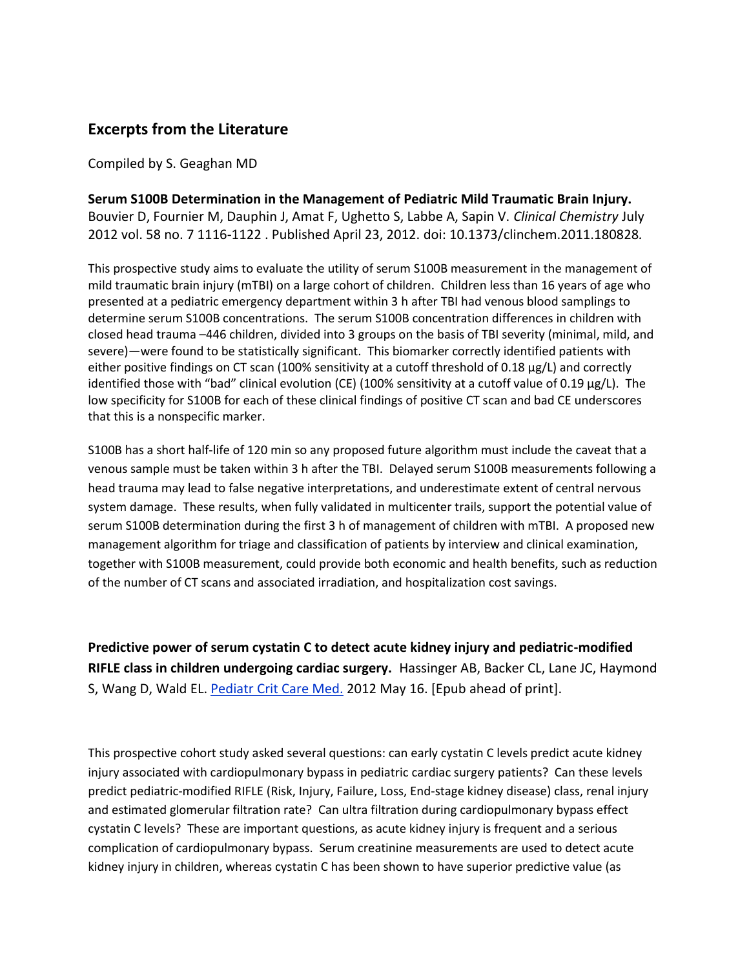# **Excerpts from the Literature**

Compiled by S. Geaghan MD

**Serum S100B Determination in the Management of Pediatric Mild Traumatic Brain Injury.** Bouvier D, Fournier M, Dauphin J, Amat F, Ughetto S, Labbe A, Sapin V. *Clinical Chemistry* July 2012 vol. 58 no. 7 1116-1122 . Published April 23, 2012. doi: 10.1373/clinchem.2011.180828*.* 

This prospective study aims to evaluate the utility of serum S100B measurement in the management of mild traumatic brain injury (mTBI) on a large cohort of children. Children less than 16 years of age who presented at a pediatric emergency department within 3 h after TBI had venous blood samplings to determine serum S100B concentrations. The serum S100B concentration differences in children with closed head trauma –446 children, divided into 3 groups on the basis of TBI severity (minimal, mild, and severe)—were found to be statistically significant. This biomarker correctly identified patients with either positive findings on CT scan (100% sensitivity at a cutoff threshold of 0.18 μg/L) and correctly identified those with "bad" clinical evolution (CE) (100% sensitivity at a cutoff value of 0.19 μg/L). The low specificity for S100B for each of these clinical findings of positive CT scan and bad CE underscores that this is a nonspecific marker.

S100B has a short half-life of 120 min so any proposed future algorithm must include the caveat that a venous sample must be taken within 3 h after the TBI. Delayed serum S100B measurements following a head trauma may lead to false negative interpretations, and underestimate extent of central nervous system damage. These results, when fully validated in multicenter trails, support the potential value of serum S100B determination during the first 3 h of management of children with mTBI. A proposed new management algorithm for triage and classification of patients by interview and clinical examination, together with S100B measurement, could provide both economic and health benefits, such as reduction of the number of CT scans and associated irradiation, and hospitalization cost savings.

**Predictive power of serum cystatin C to detect acute kidney injury and pediatric-modified RIFLE class in children undergoing cardiac surgery.** Hassinger AB, Backer CL, Lane JC, Haymond S, Wang D, Wald EL. [Pediatr Crit Care Med.](http://www.ncbi.nlm.nih.gov/pubmed/22596066##) 2012 May 16. [Epub ahead of print].

This prospective cohort study asked several questions: can early cystatin C levels predict acute kidney injury associated with cardiopulmonary bypass in pediatric cardiac surgery patients? Can these levels predict pediatric-modified RIFLE (Risk, Injury, Failure, Loss, End-stage kidney disease) class, renal injury and estimated glomerular filtration rate? Can ultra filtration during cardiopulmonary bypass effect cystatin C levels? These are important questions, as acute kidney injury is frequent and a serious complication of cardiopulmonary bypass. Serum creatinine measurements are used to detect acute kidney injury in children, whereas cystatin C has been shown to have superior predictive value (as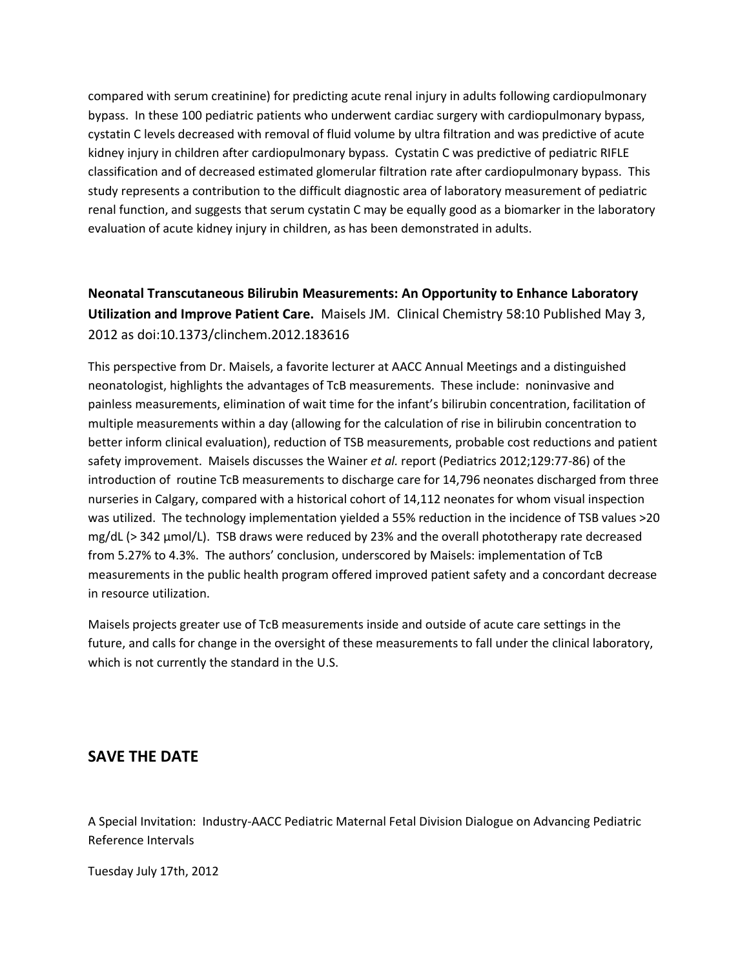compared with serum creatinine) for predicting acute renal injury in adults following cardiopulmonary bypass. In these 100 pediatric patients who underwent cardiac surgery with cardiopulmonary bypass, cystatin C levels decreased with removal of fluid volume by ultra filtration and was predictive of acute kidney injury in children after cardiopulmonary bypass. Cystatin C was predictive of pediatric RIFLE classification and of decreased estimated glomerular filtration rate after cardiopulmonary bypass. This study represents a contribution to the difficult diagnostic area of laboratory measurement of pediatric renal function, and suggests that serum cystatin C may be equally good as a biomarker in the laboratory evaluation of acute kidney injury in children, as has been demonstrated in adults.

# **Neonatal Transcutaneous Bilirubin Measurements: An Opportunity to Enhance Laboratory Utilization and Improve Patient Care.** Maisels JM. Clinical Chemistry 58:10 Published May 3, 2012 as doi:10.1373/clinchem.2012.183616

This perspective from Dr. Maisels, a favorite lecturer at AACC Annual Meetings and a distinguished neonatologist, highlights the advantages of TcB measurements. These include: noninvasive and painless measurements, elimination of wait time for the infant's bilirubin concentration, facilitation of multiple measurements within a day (allowing for the calculation of rise in bilirubin concentration to better inform clinical evaluation), reduction of TSB measurements, probable cost reductions and patient safety improvement. Maisels discusses the Wainer *et al.* report (Pediatrics 2012;129:77-86) of the introduction of routine TcB measurements to discharge care for 14,796 neonates discharged from three nurseries in Calgary, compared with a historical cohort of 14,112 neonates for whom visual inspection was utilized. The technology implementation yielded a 55% reduction in the incidence of TSB values >20 mg/dL (> 342 μmol/L). TSB draws were reduced by 23% and the overall phototherapy rate decreased from 5.27% to 4.3%. The authors' conclusion, underscored by Maisels: implementation of TcB measurements in the public health program offered improved patient safety and a concordant decrease in resource utilization.

Maisels projects greater use of TcB measurements inside and outside of acute care settings in the future, and calls for change in the oversight of these measurements to fall under the clinical laboratory, which is not currently the standard in the U.S.

## **SAVE THE DATE**

A Special Invitation: Industry-AACC Pediatric Maternal Fetal Division Dialogue on Advancing Pediatric Reference Intervals

Tuesday July 17th, 2012